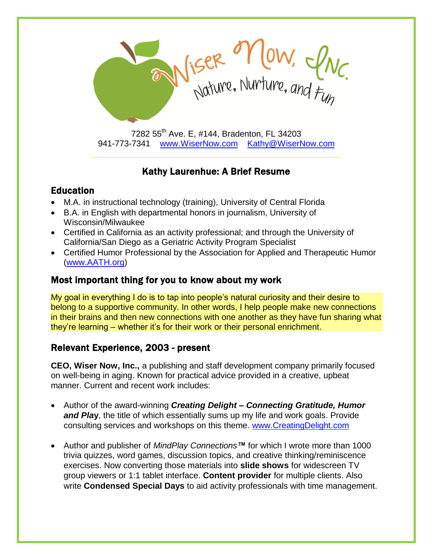

7282 55<sup>th</sup> Ave. E, #144, Bradenton, FL 34203 941-773-7341 [www.WiserNow.com](http://www.wisernow.com/) [Kathy@WiserNow.com](mailto:Kathy@WiserNow.com)

# Kathy Laurenhue: A Brief Resume

## Education

- M.A. in instructional technology (training), University of Central Florida
- B.A. in English with departmental honors in journalism, University of Wisconsin/Milwaukee
- Certified in California as an activity professional; and through the University of California/San Diego as a Geriatric Activity Program Specialist
- Certified Humor Professional by the Association for Applied and Therapeutic Humor [\(www.AATH.org\)](http://www.aath.org/)

## Most important thing for you to know about my work

My goal in everything I do is to tap into people's natural curiosity and their desire to belong to a supportive community. In other words, I help people make new connections in their brains and then new connections with one another as they have fun sharing what they're learning – whether it's for their work or their personal enrichment.

## Relevant Experience, 2003 - present

**CEO, Wiser Now, Inc.,** a publishing and staff development company primarily focused on well-being in aging. Known for practical advice provided in a creative, upbeat manner. Current and recent work includes:

- Author of the award-winning *Creating Delight – Connecting Gratitude, Humor and Pla***y**, the title of which essentially sums up my life and work goals. Provide consulting services and workshops on this theme. [www.CreatingDelight.com](http://www.creatingdelight.com/)
- Author and publisher of *MindPlay Connections™* for which I wrote more than 1000 trivia quizzes, word games, discussion topics, and creative thinking/reminiscence exercises. Now converting those materials into **slide shows** for widescreen TV group viewers or 1:1 tablet interface. **Content provider** for multiple clients. Also write **Condensed Special Days** to aid activity professionals with time management.